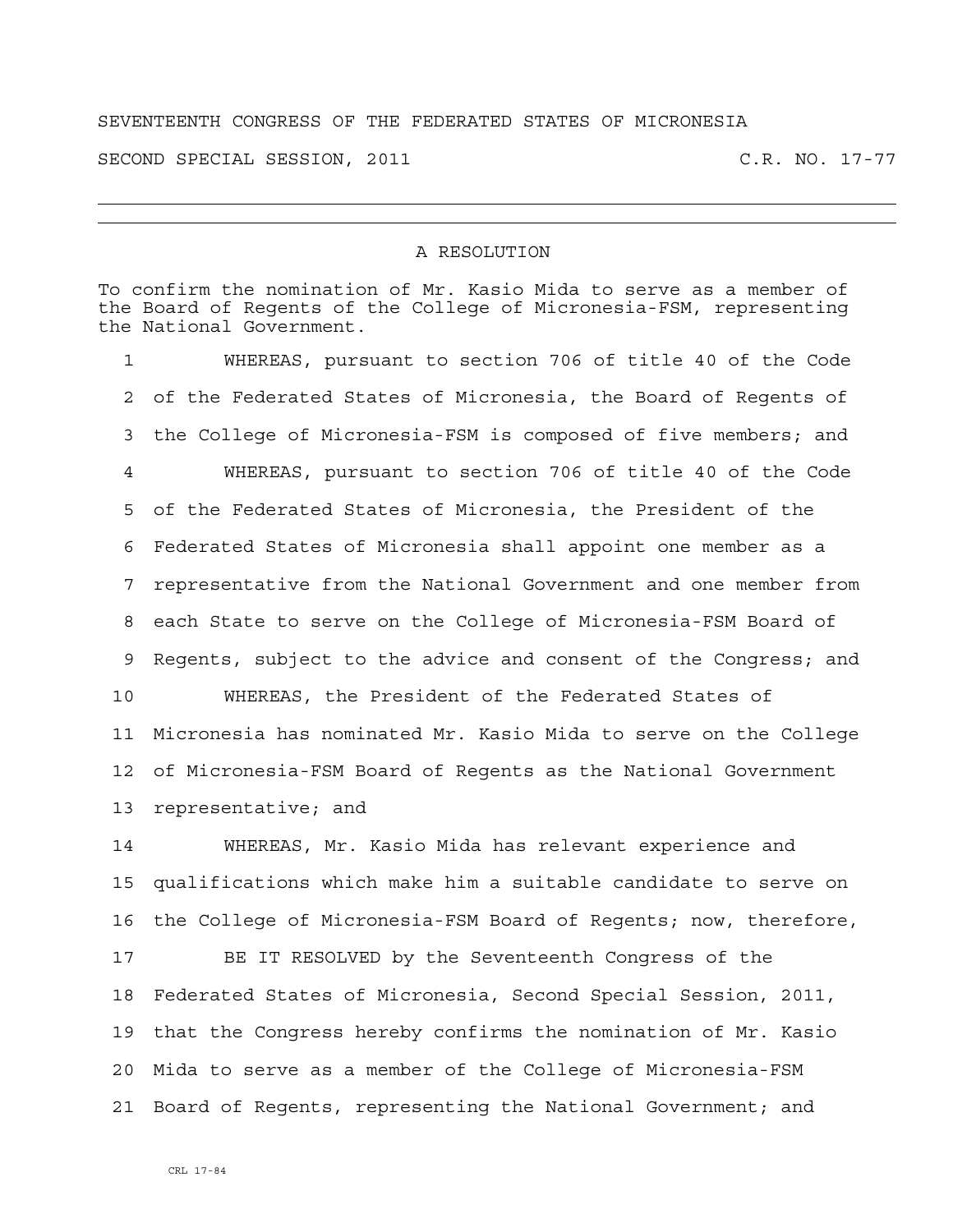## SEVENTEENTH CONGRESS OF THE FEDERATED STATES OF MICRONESIA

SECOND SPECIAL SESSION, 2011 C.R. NO. 17-77

## A RESOLUTION

To confirm the nomination of Mr. Kasio Mida to serve as a member of the Board of Regents of the College of Micronesia-FSM, representing the National Government.

1 WHEREAS, pursuant to section 706 of title 40 of the Code 2 of the Federated States of Micronesia, the Board of Regents of 3 the College of Micronesia-FSM is composed of five members; and 4 WHEREAS, pursuant to section 706 of title 40 of the Code 5 of the Federated States of Micronesia, the President of the 6 Federated States of Micronesia shall appoint one member as a 7 representative from the National Government and one member from 8 each State to serve on the College of Micronesia-FSM Board of 9 Regents, subject to the advice and consent of the Congress; and 10 WHEREAS, the President of the Federated States of 11 Micronesia has nominated Mr. Kasio Mida to serve on the College 12 of Micronesia-FSM Board of Regents as the National Government 13 representative; and

14 WHEREAS, Mr. Kasio Mida has relevant experience and 15 qualifications which make him a suitable candidate to serve on 16 the College of Micronesia-FSM Board of Regents; now, therefore,

17 BE IT RESOLVED by the Seventeenth Congress of the 18 Federated States of Micronesia, Second Special Session, 2011, 19 that the Congress hereby confirms the nomination of Mr. Kasio 20 Mida to serve as a member of the College of Micronesia-FSM 21 Board of Regents, representing the National Government; and

CRL 17-84